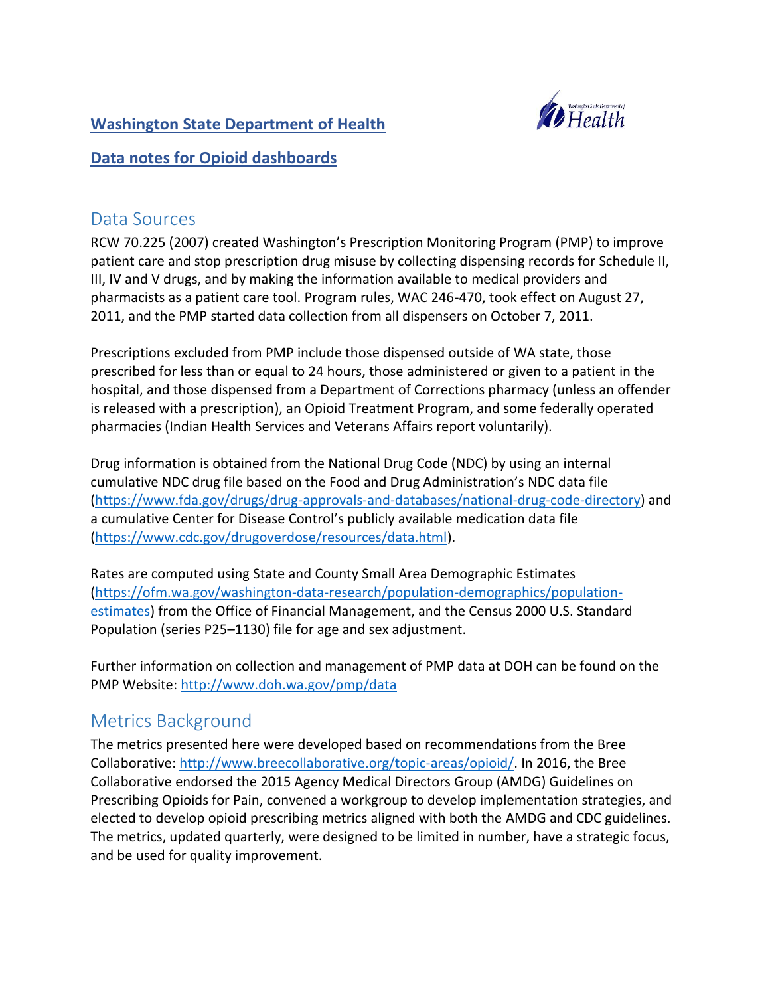## **Washington State Department of Health**



## **Data notes for Opioid dashboards**

## Data Sources

RCW 70.225 (2007) created Washington's Prescription Monitoring Program (PMP) to improve patient care and stop prescription drug misuse by collecting dispensing records for Schedule II, III, IV and V drugs, and by making the information available to medical providers and pharmacists as a patient care tool. Program rules, WAC 246-470, took effect on August 27, 2011, and the PMP started data collection from all dispensers on October 7, 2011.

Prescriptions excluded from PMP include those dispensed outside of WA state, those prescribed for less than or equal to 24 hours, those administered or given to a patient in the hospital, and those dispensed from a Department of Corrections pharmacy (unless an offender is released with a prescription), an Opioid Treatment Program, and some federally operated pharmacies (Indian Health Services and Veterans Affairs report voluntarily).

Drug information is obtained from the National Drug Code (NDC) by using an internal cumulative NDC drug file based on the Food and Drug Administration's NDC data file [\(https://www.fda.gov/drugs/drug-approvals-and-databases/national-drug-code-directory\)](https://www.fda.gov/drugs/drug-approvals-and-databases/national-drug-code-directory) and a cumulative Center for Disease Control's publicly available medication data file [\(https://www.cdc.gov/drugoverdose/resources/data.html\)](https://www.cdc.gov/drugoverdose/resources/data.html).

Rates are computed using State and County Small Area Demographic Estimates [\(https://ofm.wa.gov/washington-data-research/population-demographics/population](https://ofm.wa.gov/washington-data-research/population-demographics/population-estimates)[estimates\)](https://ofm.wa.gov/washington-data-research/population-demographics/population-estimates) from the Office of Financial Management, and the Census 2000 U.S. Standard Population (series P25–1130) file for age and sex adjustment.

Further information on collection and management of PMP data at DOH can be found on the PMP Website[: http://www.doh.wa.gov/pmp/data](http://www.doh.wa.gov/pmp/data)

# Metrics Background

The metrics presented here were developed based on recommendations from the Bree Collaborative: [http://www.breecollaborative.org/topic-areas/opioid/.](http://www.breecollaborative.org/topic-areas/opioid/) In 2016, the Bree Collaborative endorsed the 2015 Agency Medical Directors Group (AMDG) Guidelines on Prescribing Opioids for Pain, convened a workgroup to develop implementation strategies, and elected to develop opioid prescribing metrics aligned with both the AMDG and CDC guidelines. The metrics, updated quarterly, were designed to be limited in number, have a strategic focus, and be used for quality improvement.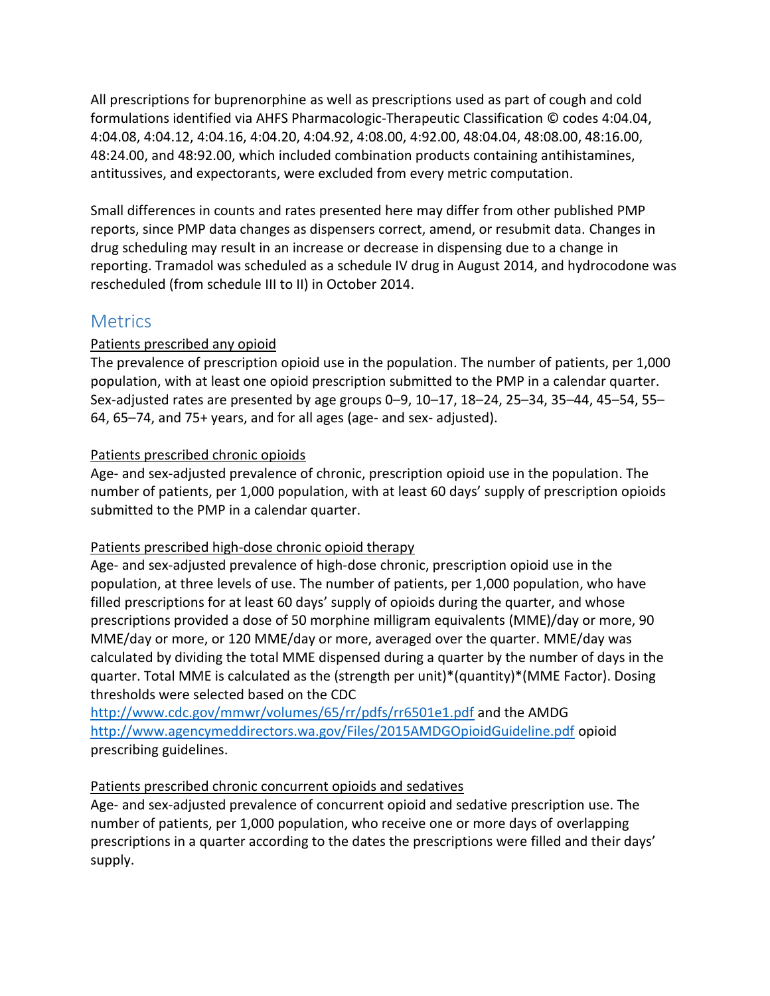All prescriptions for buprenorphine as well as prescriptions used as part of cough and cold formulations identified via AHFS Pharmacologic-Therapeutic Classification © codes 4:04.04, 4:04.08, 4:04.12, 4:04.16, 4:04.20, 4:04.92, 4:08.00, 4:92.00, 48:04.04, 48:08.00, 48:16.00, 48:24.00, and 48:92.00, which included combination products containing antihistamines, antitussives, and expectorants, were excluded from every metric computation.

Small differences in counts and rates presented here may differ from other published PMP reports, since PMP data changes as dispensers correct, amend, or resubmit data. Changes in drug scheduling may result in an increase or decrease in dispensing due to a change in reporting. Tramadol was scheduled as a schedule IV drug in August 2014, and hydrocodone was rescheduled (from schedule III to II) in October 2014.

# **Metrics**

## Patients prescribed any opioid

The prevalence of prescription opioid use in the population. The number of patients, per 1,000 population, with at least one opioid prescription submitted to the PMP in a calendar quarter. Sex-adjusted rates are presented by age groups 0–9, 10–17, 18–24, 25–34, 35–44, 45–54, 55– 64, 65–74, and 75+ years, and for all ages (age- and sex- adjusted).

## Patients prescribed chronic opioids

Age- and sex-adjusted prevalence of chronic, prescription opioid use in the population. The number of patients, per 1,000 population, with at least 60 days' supply of prescription opioids submitted to the PMP in a calendar quarter.

## Patients prescribed high-dose chronic opioid therapy

Age- and sex-adjusted prevalence of high-dose chronic, prescription opioid use in the population, at three levels of use. The number of patients, per 1,000 population, who have filled prescriptions for at least 60 days' supply of opioids during the quarter, and whose prescriptions provided a dose of 50 morphine milligram equivalents (MME)/day or more, 90 MME/day or more, or 120 MME/day or more, averaged over the quarter. MME/day was calculated by dividing the total MME dispensed during a quarter by the number of days in the quarter. Total MME is calculated as the (strength per unit)\*(quantity)\*(MME Factor). Dosing thresholds were selected based on the CDC

<http://www.cdc.gov/mmwr/volumes/65/rr/pdfs/rr6501e1.pdf> and the AMDG <http://www.agencymeddirectors.wa.gov/Files/2015AMDGOpioidGuideline.pdf> opioid prescribing guidelines.

## Patients prescribed chronic concurrent opioids and sedatives

Age- and sex-adjusted prevalence of concurrent opioid and sedative prescription use. The number of patients, per 1,000 population, who receive one or more days of overlapping prescriptions in a quarter according to the dates the prescriptions were filled and their days' supply.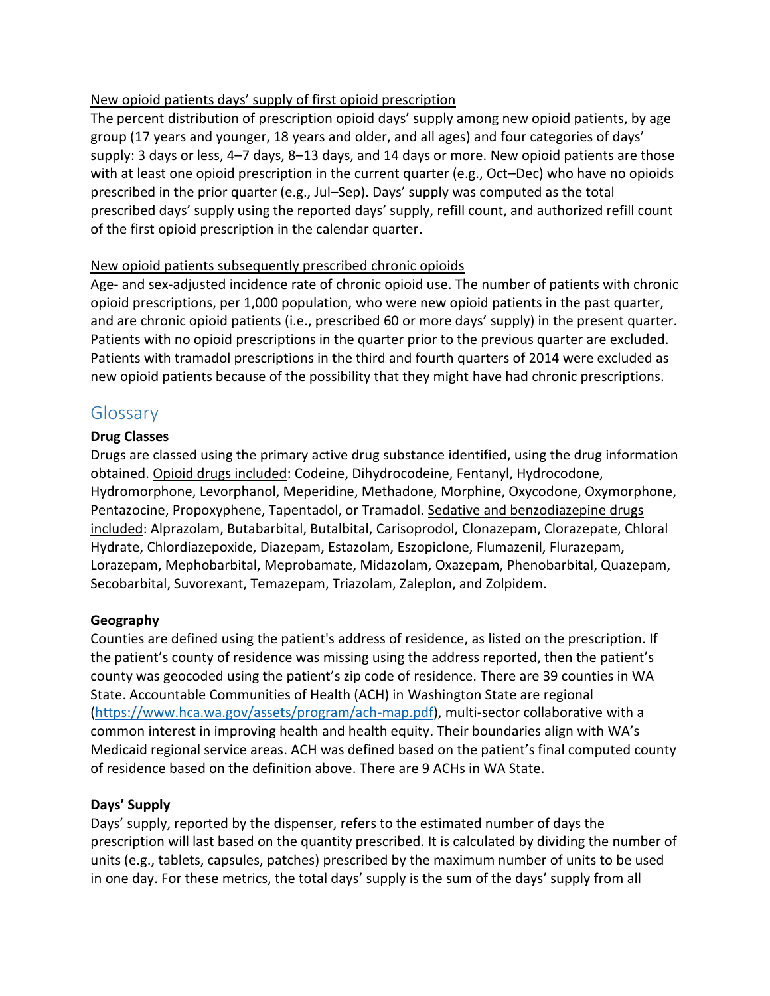### New opioid patients days' supply of first opioid prescription

The percent distribution of prescription opioid days' supply among new opioid patients, by age group (17 years and younger, 18 years and older, and all ages) and four categories of days' supply: 3 days or less, 4–7 days, 8–13 days, and 14 days or more. New opioid patients are those with at least one opioid prescription in the current quarter (e.g., Oct–Dec) who have no opioids prescribed in the prior quarter (e.g., Jul–Sep). Days' supply was computed as the total prescribed days' supply using the reported days' supply, refill count, and authorized refill count of the first opioid prescription in the calendar quarter.

### New opioid patients subsequently prescribed chronic opioids

Age- and sex-adjusted incidence rate of chronic opioid use. The number of patients with chronic opioid prescriptions, per 1,000 population, who were new opioid patients in the past quarter, and are chronic opioid patients (i.e., prescribed 60 or more days' supply) in the present quarter. Patients with no opioid prescriptions in the quarter prior to the previous quarter are excluded. Patients with tramadol prescriptions in the third and fourth quarters of 2014 were excluded as new opioid patients because of the possibility that they might have had chronic prescriptions.

# Glossary

### **Drug Classes**

Drugs are classed using the primary active drug substance identified, using the drug information obtained. Opioid drugs included: Codeine, Dihydrocodeine, Fentanyl, Hydrocodone, Hydromorphone, Levorphanol, Meperidine, Methadone, Morphine, Oxycodone, Oxymorphone, Pentazocine, Propoxyphene, Tapentadol, or Tramadol. Sedative and benzodiazepine drugs included: Alprazolam, Butabarbital, Butalbital, Carisoprodol, Clonazepam, Clorazepate, Chloral Hydrate, Chlordiazepoxide, Diazepam, Estazolam, Eszopiclone, Flumazenil, Flurazepam, Lorazepam, Mephobarbital, Meprobamate, Midazolam, Oxazepam, Phenobarbital, Quazepam, Secobarbital, Suvorexant, Temazepam, Triazolam, Zaleplon, and Zolpidem.

## **Geography**

Counties are defined using the patient's address of residence, as listed on the prescription. If the patient's county of residence was missing using the address reported, then the patient's county was geocoded using the patient's zip code of residence. There are 39 counties in WA State. Accountable Communities of Health (ACH) in Washington State are regional [\(https://www.hca.wa.gov/assets/program/ach-map.pdf\)](https://www.hca.wa.gov/assets/program/ach-map.pdf), multi-sector collaborative with a common interest in improving health and health equity. Their boundaries align with WA's Medicaid regional service areas. ACH was defined based on the patient's final computed county of residence based on the definition above. There are 9 ACHs in WA State.

#### **Days' Supply**

Days' supply, reported by the dispenser, refers to the estimated number of days the prescription will last based on the quantity prescribed. It is calculated by dividing the number of units (e.g., tablets, capsules, patches) prescribed by the maximum number of units to be used in one day. For these metrics, the total days' supply is the sum of the days' supply from all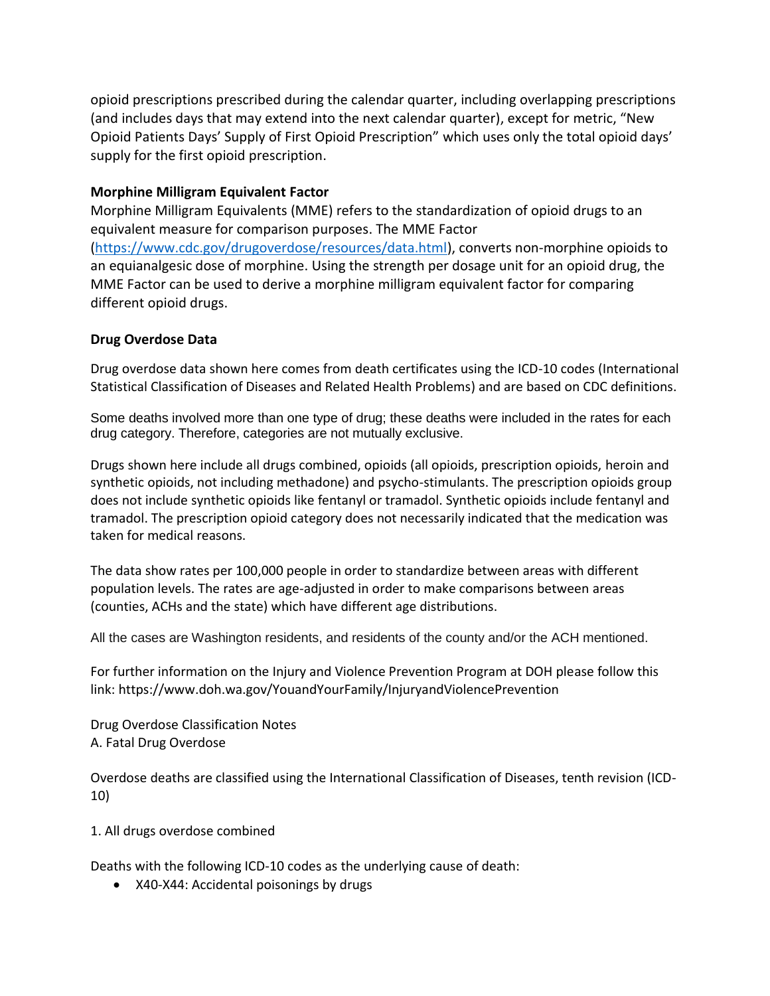opioid prescriptions prescribed during the calendar quarter, including overlapping prescriptions (and includes days that may extend into the next calendar quarter), except for metric, "New Opioid Patients Days' Supply of First Opioid Prescription" which uses only the total opioid days' supply for the first opioid prescription.

#### **Morphine Milligram Equivalent Factor**

Morphine Milligram Equivalents (MME) refers to the standardization of opioid drugs to an equivalent measure for comparison purposes. The MME Factor [\(https://www.cdc.gov/drugoverdose/resources/data.html\)](https://www.cdc.gov/drugoverdose/resources/data.html), converts non-morphine opioids to an equianalgesic dose of morphine. Using the strength per dosage unit for an opioid drug, the MME Factor can be used to derive a morphine milligram equivalent factor for comparing different opioid drugs.

#### **Drug Overdose Data**

Drug overdose data shown here comes from death certificates using the ICD-10 codes (International Statistical Classification of Diseases and Related Health Problems) and are based on CDC definitions.

Some deaths involved more than one type of drug; these deaths were included in the rates for each drug category. Therefore, categories are not mutually exclusive.

Drugs shown here include all drugs combined, opioids (all opioids, prescription opioids, heroin and synthetic opioids, not including methadone) and psycho-stimulants. The prescription opioids group does not include synthetic opioids like fentanyl or tramadol. Synthetic opioids include fentanyl and tramadol. The prescription opioid category does not necessarily indicated that the medication was taken for medical reasons.

The data show rates per 100,000 people in order to standardize between areas with different population levels. The rates are age-adjusted in order to make comparisons between areas (counties, ACHs and the state) which have different age distributions.

All the cases are Washington residents, and residents of the county and/or the ACH mentioned.

For further information on the Injury and Violence Prevention Program at DOH please follow this link: https://www.doh.wa.gov/YouandYourFamily/InjuryandViolencePrevention

Drug Overdose Classification Notes A. Fatal Drug Overdose

Overdose deaths are classified using the International Classification of Diseases, tenth revision (ICD-10)

1. All drugs overdose combined

Deaths with the following ICD-10 codes as the underlying cause of death:

X40-X44: Accidental poisonings by drugs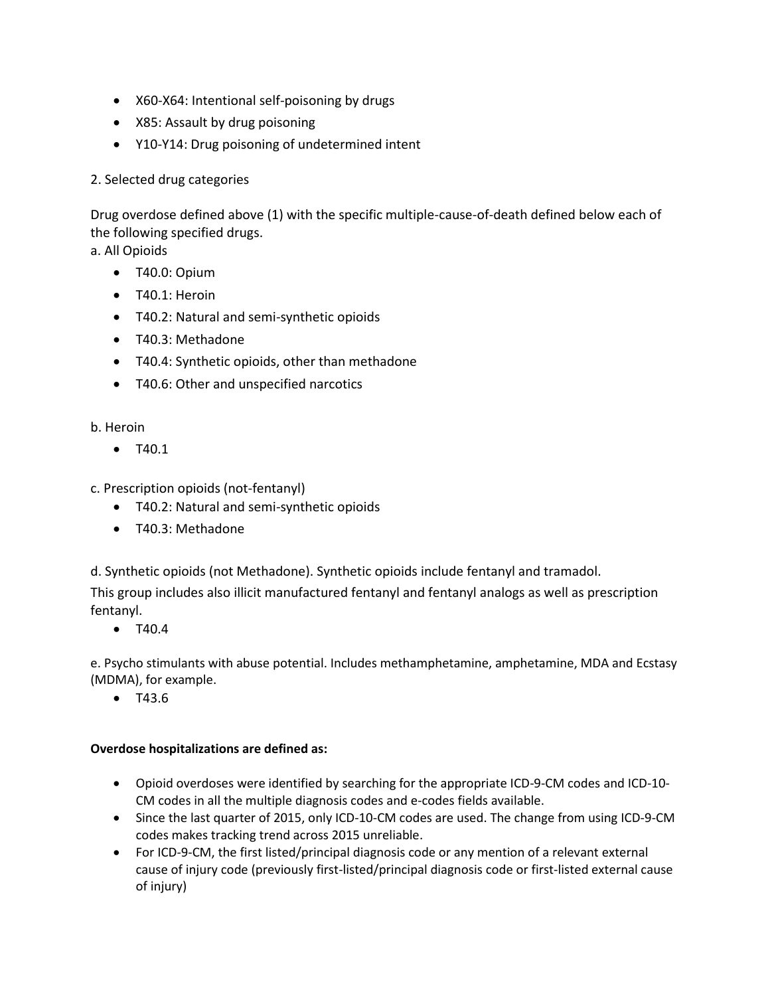- X60-X64: Intentional self-poisoning by drugs
- X85: Assault by drug poisoning
- Y10-Y14: Drug poisoning of undetermined intent

#### 2. Selected drug categories

Drug overdose defined above (1) with the specific multiple-cause-of-death defined below each of the following specified drugs.

a. All Opioids

- T40.0: Opium
- T40.1: Heroin
- T40.2: Natural and semi-synthetic opioids
- T40.3: Methadone
- T40.4: Synthetic opioids, other than methadone
- T40.6: Other and unspecified narcotics

#### b. Heroin

 $• T40.1$ 

c. Prescription opioids (not-fentanyl)

- T40.2: Natural and semi-synthetic opioids
- T40.3: Methadone

d. Synthetic opioids (not Methadone). Synthetic opioids include fentanyl and tramadol.

This group includes also illicit manufactured fentanyl and fentanyl analogs as well as prescription fentanyl.

 $\bullet$  T40.4

e. Psycho stimulants with abuse potential. Includes methamphetamine, amphetamine, MDA and Ecstasy (MDMA), for example.

• T43.6

#### **Overdose hospitalizations are defined as:**

- Opioid overdoses were identified by searching for the appropriate ICD-9-CM codes and ICD-10- CM codes in all the multiple diagnosis codes and e-codes fields available.
- Since the last quarter of 2015, only ICD-10-CM codes are used. The change from using ICD-9-CM codes makes tracking trend across 2015 unreliable.
- For ICD-9-CM, the first listed/principal diagnosis code or any mention of a relevant external cause of injury code (previously first-listed/principal diagnosis code or first-listed external cause of injury)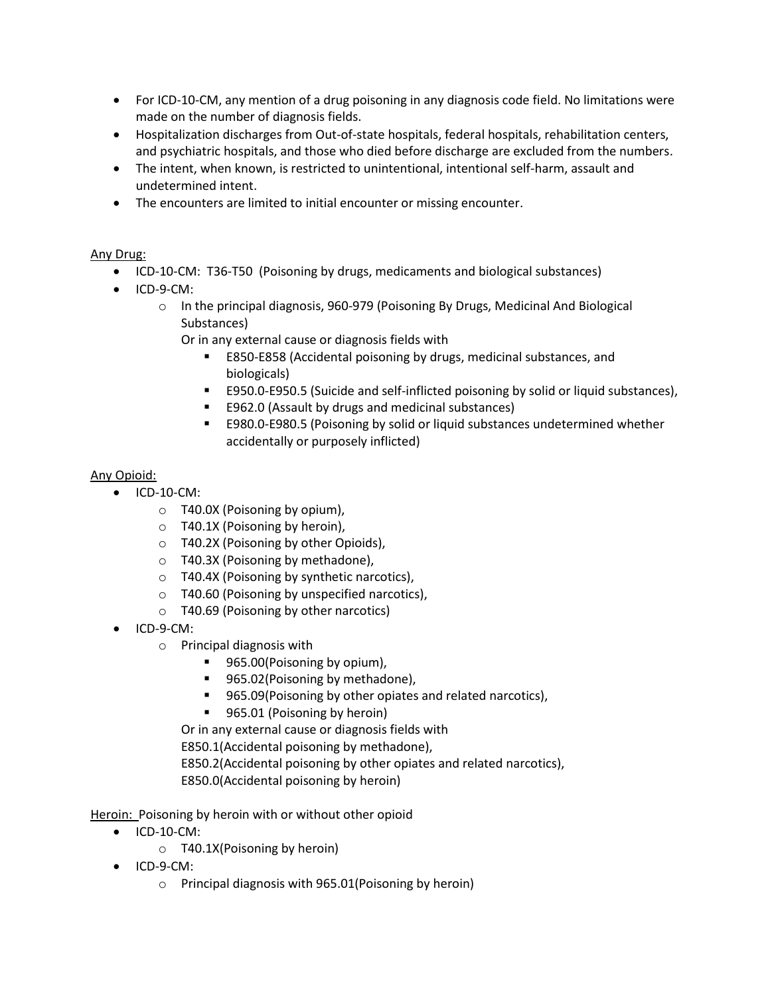- For ICD-10-CM, any mention of a drug poisoning in any diagnosis code field. No limitations were made on the number of diagnosis fields.
- Hospitalization discharges from Out-of-state hospitals, federal hospitals, rehabilitation centers, and psychiatric hospitals, and those who died before discharge are excluded from the numbers.
- The intent, when known, is restricted to unintentional, intentional self-harm, assault and undetermined intent.
- The encounters are limited to initial encounter or missing encounter.

#### Any Drug:

- ICD-10-CM: T36-T50 (Poisoning by drugs, medicaments and biological substances)
- $\bullet$  ICD-9-CM:
	- $\circ$  In the principal diagnosis, 960-979 (Poisoning By Drugs, Medicinal And Biological Substances)

Or in any external cause or diagnosis fields with

- E850-E858 (Accidental poisoning by drugs, medicinal substances, and biologicals)
- E950.0-E950.5 (Suicide and self-inflicted poisoning by solid or liquid substances),
- E962.0 (Assault by drugs and medicinal substances)
- E980.0-E980.5 (Poisoning by solid or liquid substances undetermined whether accidentally or purposely inflicted)

#### Any Opioid:

- ICD-10-CM:
	- o T40.0X (Poisoning by opium),
	- $\circ$  T40.1X (Poisoning by heroin),
	- o T40.2X (Poisoning by other Opioids),
	- o T40.3X (Poisoning by methadone),
	- o T40.4X (Poisoning by synthetic narcotics),
	- o T40.60 (Poisoning by unspecified narcotics),
	- o T40.69 (Poisoning by other narcotics)
- ICD-9-CM:
	- o Principal diagnosis with
		- 965.00(Poisoning by opium),
		- 965.02(Poisoning by methadone),
		- 965.09(Poisoning by other opiates and related narcotics),
		- 965.01 (Poisoning by heroin)

Or in any external cause or diagnosis fields with

E850.1(Accidental poisoning by methadone),

E850.2(Accidental poisoning by other opiates and related narcotics), E850.0(Accidental poisoning by heroin)

Heroin: Poisoning by heroin with or without other opioid

- $\bullet$  ICD-10-CM:
	- o T40.1X(Poisoning by heroin)
- $\bullet$  ICD-9-CM:
	- o Principal diagnosis with 965.01(Poisoning by heroin)